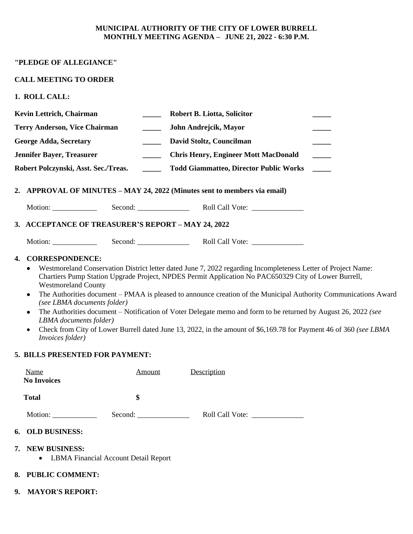### **MUNICIPAL AUTHORITY OF THE CITY OF LOWER BURRELL MONTHLY MEETING AGENDA – JUNE 21, 2022 - 6:30 P.M.**

## **"PLEDGE OF ALLEGIANCE"**

## **CALL MEETING TO ORDER**

**1. ROLL CALL:**

|                                                    | Kevin Lettrich, Chairman                                                                                                                                                                                                                                                                                                                                                                                                                                                                                                                                                                                                            |                                      | <b>Robert B. Liotta, Solicitor</b>                                        |  |  |  |  |
|----------------------------------------------------|-------------------------------------------------------------------------------------------------------------------------------------------------------------------------------------------------------------------------------------------------------------------------------------------------------------------------------------------------------------------------------------------------------------------------------------------------------------------------------------------------------------------------------------------------------------------------------------------------------------------------------------|--------------------------------------|---------------------------------------------------------------------------|--|--|--|--|
| <b>Terry Anderson, Vice Chairman</b>               |                                                                                                                                                                                                                                                                                                                                                                                                                                                                                                                                                                                                                                     |                                      | John Andrejcik, Mayor                                                     |  |  |  |  |
| <b>George Adda, Secretary</b><br>$\frac{1}{2}$     |                                                                                                                                                                                                                                                                                                                                                                                                                                                                                                                                                                                                                                     |                                      | David Stoltz, Councilman                                                  |  |  |  |  |
|                                                    | <b>Jennifer Bayer, Treasurer</b>                                                                                                                                                                                                                                                                                                                                                                                                                                                                                                                                                                                                    |                                      | <b>Chris Henry, Engineer Mott MacDonald</b>                               |  |  |  |  |
| Robert Polczynski, Asst. Sec./Treas.               |                                                                                                                                                                                                                                                                                                                                                                                                                                                                                                                                                                                                                                     |                                      | <b>Todd Giammatteo, Director Public Works</b><br>$\frac{1}{2}$            |  |  |  |  |
|                                                    |                                                                                                                                                                                                                                                                                                                                                                                                                                                                                                                                                                                                                                     |                                      | 2. APPROVAL OF MINUTES – MAY 24, 2022 (Minutes sent to members via email) |  |  |  |  |
|                                                    |                                                                                                                                                                                                                                                                                                                                                                                                                                                                                                                                                                                                                                     |                                      |                                                                           |  |  |  |  |
| 3. ACCEPTANCE OF TREASURER'S REPORT - MAY 24, 2022 |                                                                                                                                                                                                                                                                                                                                                                                                                                                                                                                                                                                                                                     |                                      |                                                                           |  |  |  |  |
|                                                    |                                                                                                                                                                                                                                                                                                                                                                                                                                                                                                                                                                                                                                     |                                      |                                                                           |  |  |  |  |
|                                                    | Chartiers Pump Station Upgrade Project, NPDES Permit Application No PAC650329 City of Lower Burrell,<br><b>Westmoreland County</b><br>The Authorities document – PMAA is pleased to announce creation of the Municipal Authority Communications Award<br>٠<br>(see LBMA documents folder)<br>The Authorities document – Notification of Voter Delegate memo and form to be returned by August 26, 2022 (see<br>٠<br>LBMA documents folder)<br>Check from City of Lower Burrell dated June 13, 2022, in the amount of \$6,169.78 for Payment 46 of 360 (see LBMA<br>$\bullet$<br>Invoices folder)<br>5. BILLS PRESENTED FOR PAYMENT: |                                      |                                                                           |  |  |  |  |
|                                                    | Name<br><b>No Invoices</b>                                                                                                                                                                                                                                                                                                                                                                                                                                                                                                                                                                                                          | Amount                               | Description                                                               |  |  |  |  |
|                                                    | <b>Total</b>                                                                                                                                                                                                                                                                                                                                                                                                                                                                                                                                                                                                                        | \$                                   |                                                                           |  |  |  |  |
|                                                    |                                                                                                                                                                                                                                                                                                                                                                                                                                                                                                                                                                                                                                     | Second:                              |                                                                           |  |  |  |  |
|                                                    | 6. OLD BUSINESS:                                                                                                                                                                                                                                                                                                                                                                                                                                                                                                                                                                                                                    |                                      |                                                                           |  |  |  |  |
|                                                    | 7. NEW BUSINESS:                                                                                                                                                                                                                                                                                                                                                                                                                                                                                                                                                                                                                    | LBMA Financial Account Detail Report |                                                                           |  |  |  |  |
|                                                    | 8. PUBLIC COMMENT:                                                                                                                                                                                                                                                                                                                                                                                                                                                                                                                                                                                                                  |                                      |                                                                           |  |  |  |  |
|                                                    |                                                                                                                                                                                                                                                                                                                                                                                                                                                                                                                                                                                                                                     |                                      |                                                                           |  |  |  |  |

**9. MAYOR'S REPORT:**